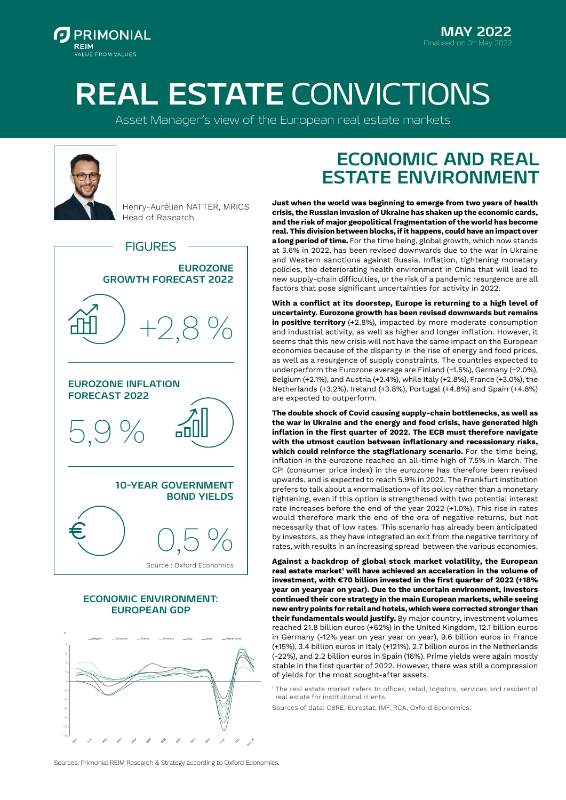

**MAY 2022**

## **REAL ESTATE** CONVICTIONS

Asset Manager's view of the European real estate markets



Henry-Aurélien NATTER, MRICS Head of Research



#### **ECONOMIC ENVIRONMENT: EUROPEAN GDP**



### **ECONOMIC AND REAL ESTATE ENVIRONMENT**

**Just when the world was beginning to emerge from two years of health crisis, the Russian invasion of Ukraine has shaken up the economic cards, and the risk of major geopolitical fragmentation of the world has become real. This division between blocks, if it happens, could have an impact over a long period of time.** For the time being, global growth, which now stands at 3.6% in 2022, has been revised downwards due to the war in Ukraine and Western sanctions against Russia. Inflation, tightening monetary policies, the deteriorating health environment in China that will lead to new supply-chain difficulties, or the risk of a pandemic resurgence are all factors that pose significant uncertainties for activity in 2022.

**With a conflict at its doorstep, Europe is returning to a high level of uncertainty. Eurozone growth has been revised downwards but remains in positive territory** (+2.8%), impacted by more moderate consumption and industrial activity, as well as higher and longer inflation. However, it seems that this new crisis will not have the same impact on the European economies because of the disparity in the rise of energy and food prices, as well as a resurgence of supply constraints. The countries expected to underperform the Eurozone average are Finland (+1.5%), Germany (+2.0%), Belgium (+2.1%), and Austria (+2.4%), while Italy (+2.8%), France (+3.0%), the Netherlands (+3.2%), Ireland (+3.8%), Portugal (+4.8%) and Spain (+4.8%) are expected to outperform.

**The double shock of Covid causing supply-chain bottlenecks, as well as the war in Ukraine and the energy and food crisis, have generated high inflation in the first quarter of 2022. The ECB must therefore navigate with the utmost caution between inflationary and recessionary risks,**  which could reinforce the stagflationary scenario. For the time being, inflation in the eurozone reached an all-time high of 7.5% in March. The CPI (consumer price index) in the eurozone has therefore been revised upwards, and is expected to reach 5.9% in 2022. The Frankfurt institution prefers to talk about a «normalisation» of its policy rather than a monetary tightening, even if this option is strengthened with two potential interest rate increases before the end of the year 2022 (+1.0%). This rise in rates would therefore mark the end of the era of negative returns, but not necessarily that of low rates. This scenario has already been anticipated by investors, as they have integrated an exit from the negative territory of rates, with results in an increasing spread between the various economies.

**Against a backdrop of global stock market volatility, the European**  real estate market' will have achieved an acceleration in the volume of **investment, with €70 billion invested in the first quarter of 2022 (+18% year on yearyear on year). Due to the uncertain environment, investors continued their core strategy in the main European markets, while seeing new entry points for retail and hotels, which were corrected stronger than their fundamentals would justify.** By major country, investment volumes reached 21.8 billion euros (+62%) in the United Kingdom, 12.1 billion euros in Germany (-12% year on year year on year), 9.6 billion euros in France (+15%), 3.4 billion euros in Italy (+121%), 2.7 billion euros in the Netherlands (-22%), and 2.2 billion euros in Spain (16%). Prime yields were again mostly stable in the first quarter of 2022. However, there was still a compression of yields for the most sought-after assets.

<sup>1</sup> The real estate market refers to offices, retail, logistics, services and residential real estate for institutional clients.

Sources of data: CBRE, Eurostat, IMF, RCA, Oxford Economics.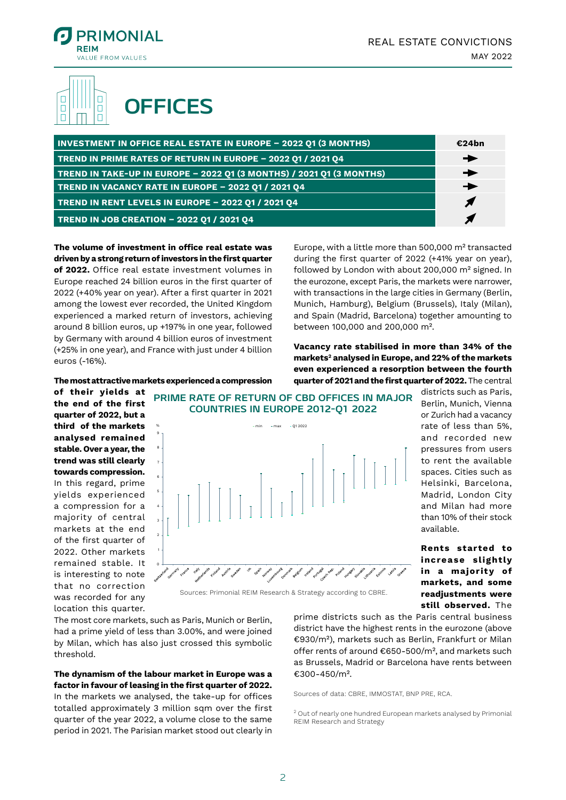

#### П **OFFICES** $\Box$  $\Box$  $\Box$  $\Box$

| <b>INVESTMENT IN OFFICE REAL ESTATE IN EUROPE - 2022 Q1 (3 MONTHS)</b> | €24bn         |
|------------------------------------------------------------------------|---------------|
| TREND IN PRIME RATES OF RETURN IN EUROPE - 2022 Q1 / 2021 Q4           |               |
| TREND IN TAKE-UP IN EUROPE - 2022 Q1 (3 MONTHS) / 2021 Q1 (3 MONTHS)   | $\rightarrow$ |
| TREND IN VACANCY RATE IN EUROPE - 2022 Q1 / 2021 Q4                    |               |
| TREND IN RENT LEVELS IN EUROPE - 2022 Q1 / 2021 Q4                     |               |
| TREND IN JOB CREATION - 2022 Q1 / 2021 Q4                              |               |

**The volume of investment in office real estate was driven by a strong return of investors in the first quarter of 2022.** Office real estate investment volumes in Europe reached 24 billion euros in the first quarter of 2022 (+40% year on year). After a first quarter in 2021 among the lowest ever recorded, the United Kingdom experienced a marked return of investors, achieving around 8 billion euros, up +197% in one year, followed by Germany with around 4 billion euros of investment (+25% in one year), and France with just under 4 billion euros (-16%).

**The most attractive markets experienced a compression** 

Europe, with a little more than 500,000 m² transacted during the first quarter of 2022 (+41% year on year), followed by London with about 200,000 m² signed. In the eurozone, except Paris, the markets were narrower, with transactions in the large cities in Germany (Berlin, Munich, Hamburg), Belgium (Brussels), Italy (Milan), and Spain (Madrid, Barcelona) together amounting to between 100,000 and 200,000 m².

**Vacancy rate stabilised in more than 34% of the markets2 analysed in Europe, and 22% of the markets even experienced a resorption between the fourth quarter of 2021 and the first quarter of 2022.** The central

**of their yields at the end of the first quarter of 2022, but a third of the markets analysed remained stable. Over a year, the trend was still clearly towards compression.**  In this regard, prime yields experienced a compression for a majority of central markets at the end of the first quarter of 2022. Other markets remained stable. It is interesting to note that no correction was recorded for any location this quarter.

**PRIME RATE OF RETURN OF CBD OFFICES IN MAJOR COUNTRIES IN EUROPE 2012-Q1 2022**



Sources: Primonial REIM Research & Strategy according to CBRE.

The most core markets, such as Paris, Munich or Berlin, had a prime yield of less than 3.00%, and were joined by Milan, which has also just crossed this symbolic threshold.

#### **The dynamism of the labour market in Europe was a factor in favour of leasing in the first quarter of 2022.**

In the markets we analysed, the take-up for offices totalled approximately 3 million sqm over the first quarter of the year 2022, a volume close to the same period in 2021. The Parisian market stood out clearly in

districts such as Paris, Berlin, Munich, Vienna or Zurich had a vacancy rate of less than 5%, and recorded new pressures from users to rent the available spaces. Cities such as Helsinki, Barcelona, Madrid, London City and Milan had more than 10% of their stock available.

**Rents started to increase slightly in a majority of markets, and some readjustments were still observed.** The

prime districts such as the Paris central business district have the highest rents in the eurozone (above €930/m²), markets such as Berlin, Frankfurt or Milan offer rents of around €650-500/m², and markets such as Brussels, Madrid or Barcelona have rents between €300-450/m².

Sources of data: CBRE, IMMOSTAT, BNP PRE, RCA.

<sup>2</sup> Out of nearly one hundred European markets analysed by Primonial REIM Research and Strategy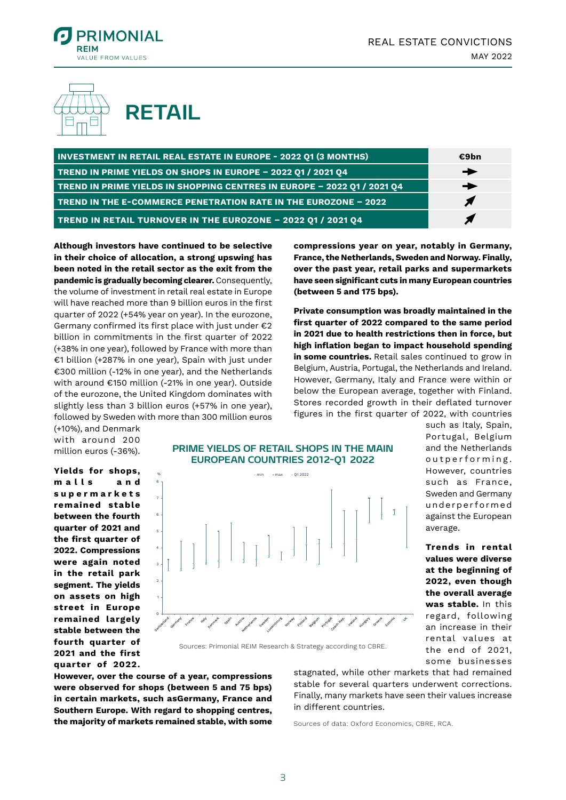



| <b>INVESTMENT IN RETAIL REAL ESTATE IN EUROPE - 2022 Q1 (3 MONTHS)</b>  | €9bn          |
|-------------------------------------------------------------------------|---------------|
| TREND IN PRIME YIELDS ON SHOPS IN EUROPE - 2022 Q1 / 2021 Q4            | ▸             |
| TREND IN PRIME YIELDS IN SHOPPING CENTRES IN EUROPE - 2022 01 / 2021 04 | $\rightarrow$ |
| <b>TREND IN THE E-COMMERCE PENETRATION RATE IN THE EUROZONE - 2022</b>  |               |
| TREND IN RETAIL TURNOVER IN THE EUROZONE - 2022 Q1 / 2021 Q4            |               |

**Although investors have continued to be selective in their choice of allocation, a strong upswing has been noted in the retail sector as the exit from the pandemic is gradually becoming clearer.** Consequently, the volume of investment in retail real estate in Europe will have reached more than 9 billion euros in the first quarter of 2022 (+54% year on year). In the eurozone, Germany confirmed its first place with just under €2 billion in commitments in the first quarter of 2022 (+38% in one year), followed by France with more than €1 billion (+287% in one year), Spain with just under €300 million (-12% in one year), and the Netherlands with around €150 million (-21% in one year). Outside of the eurozone, the United Kingdom dominates with slightly less than 3 billion euros (+57% in one year), followed by Sweden with more than 300 million euros

**compressions year on year, notably in Germany, France, the Netherlands, Sweden and Norway. Finally, over the past year, retail parks and supermarkets have seen significant cuts in many European countries (between 5 and 175 bps).**

**Private consumption was broadly maintained in the first quarter of 2022 compared to the same period in 2021 due to health restrictions then in force, but high inflation began to impact household spending in some countries.** Retail sales continued to grow in Belgium, Austria, Portugal, the Netherlands and Ireland. However, Germany, Italy and France were within or below the European average, together with Finland. Stores recorded growth in their deflated turnover figures in the first quarter of 2022, with countries

> such as Italy, Spain, Portugal, Belgium and the Netherlands outperforming. However, countries such as France, Sweden and Germany u n d e r p e r f o rm e d against the European

> **Trends in rental values were diverse at the beginning of 2022, even though the overall average was stable.** In this regard, following an increase in their rental values at the end of 2021, some businesses

average.

(+10%), and Denmark with around 200 million euros (-36%).

**Yields for shops, m a l l s a n d s u p e r m a r k e t s remained stable between the fourth quarter of 2021 and the first quarter of 2022. Compressions were again noted in the retail park segment. The yields on assets on high street in Europe remained largely stable between the fourth quarter of 2021 and the first quarter of 2022.** 





Sources: Primonial REIM Research & Strategy according to CBRE.

**However, over the course of a year, compressions were observed for shops (between 5 and 75 bps) in certain markets, such asGermany, France and Southern Europe. With regard to shopping centres, the majority of markets remained stable, with some** 

stagnated, while other markets that had remained stable for several quarters underwent corrections. Finally, many markets have seen their values increase in different countries.

Sources of data: Oxford Economics, CBRE, RCA.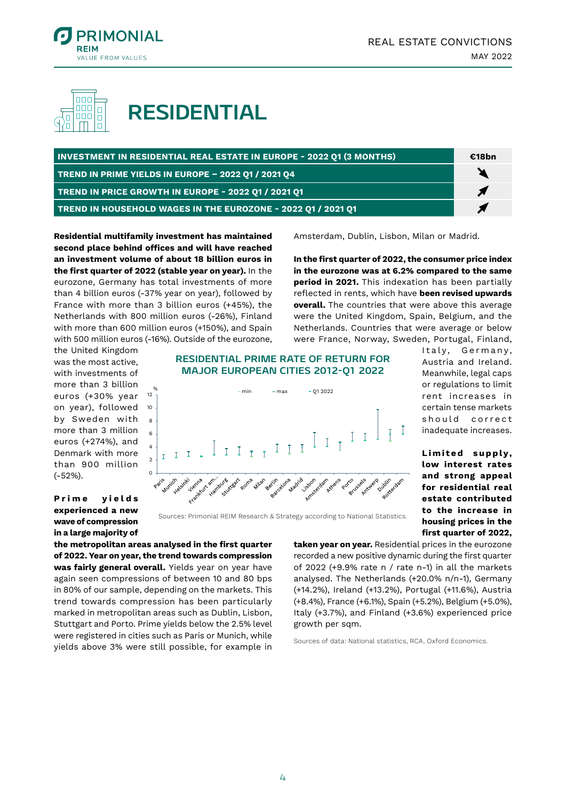



**RESIDENTIAL**

| <b>INVESTMENT IN RESIDENTIAL REAL ESTATE IN EUROPE - 2022 Q1 (3 MONTHS)</b> |  |
|-----------------------------------------------------------------------------|--|
| TREND IN PRIME YIELDS IN EUROPE - 2022 Q1 / 2021 Q4                         |  |
| TREND IN PRICE GROWTH IN EUROPE - 2022 Q1 / 2021 Q1                         |  |
| TREND IN HOUSEHOLD WAGES IN THE EUROZONE - 2022 Q1 / 2021 Q1                |  |

**Residential multifamily investment has maintained second place behind offices and will have reached an investment volume of about 18 billion euros in the first quarter of 2022 (stable year on year).** In the eurozone, Germany has total investments of more than 4 billion euros (-37% year on year), followed by France with more than 3 billion euros (+45%), the Netherlands with 800 million euros (-26%), Finland with more than 600 million euros (+150%), and Spain with 500 million euros (-16%). Outside of the eurozone, Amsterdam, Dublin, Lisbon, Milan or Madrid.

**In the first quarter of 2022, the consumer price index in the eurozone was at 6.2% compared to the same period in 2021.** This indexation has been partially reflected in rents, which have **been revised upwards overall.** The countries that were above this average were the United Kingdom, Spain, Belgium, and the Netherlands. Countries that were average or below were France, Norway, Sweden, Portugal, Finland,

> Italy, Germany, Austria and Ireland. Meanwhile, legal caps or regulations to limit rent increases in certain tense markets should correct inadequate increases.

> Limited supply. **low interest rates and strong appeal for residential real estate contributed to the increase in housing prices in the first quarter of 2022,**

the United Kingdom was the most active, with investments of more than 3 billion euros (+30% year on year), followed by Sweden with more than 3 million euros (+274%), and Denmark with more than 900 million (-52%).

**P r i m e y i e l d s experienced a new wave of compression in a large majority of**  **RESIDENTIAL PRIME RATE OF RETURN FOR MAJOR EUROPEAN CITIES 2012-Q1 2022**



Sources: Primonial REIM Research & Strategy according to National Statistics.

**the metropolitan areas analysed in the first quarter of 2022. Year on year, the trend towards compression**  was fairly general overall. Yields year on year have again seen compressions of between 10 and 80 bps in 80% of our sample, depending on the markets. This trend towards compression has been particularly marked in metropolitan areas such as Dublin, Lisbon, Stuttgart and Porto. Prime yields below the 2.5% level were registered in cities such as Paris or Munich, while yields above 3% were still possible, for example in

**taken year on year.** Residential prices in the eurozone recorded a new positive dynamic during the first quarter of 2022 (+9.9% rate n / rate n-1) in all the markets analysed. The Netherlands (+20.0% n/n-1), Germany (+14.2%), Ireland (+13.2%), Portugal (+11.6%), Austria (+8.4%), France (+6.1%), Spain (+5.2%), Belgium (+5.0%), Italy (+3.7%), and Finland (+3.6%) experienced price growth per sqm.

Sources of data: National statistics, RCA, Oxford Economics.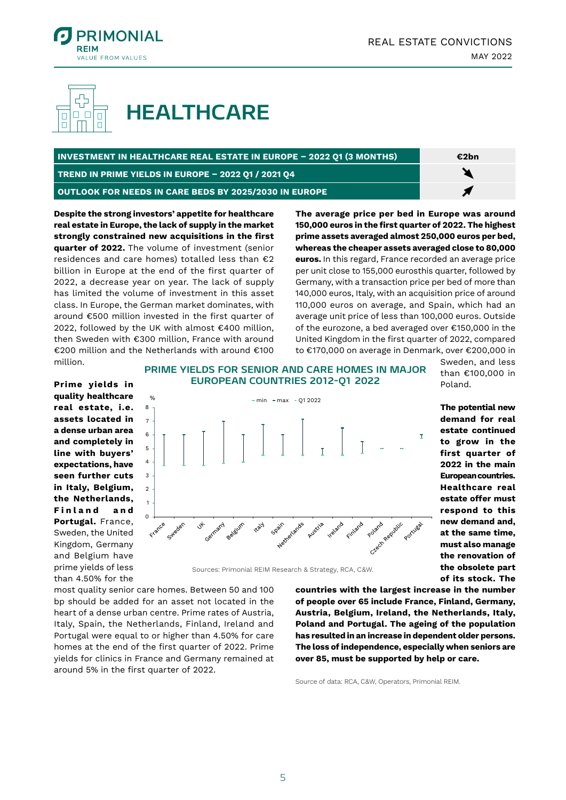



# **HEALTHCARE**

| INVESTMENT IN HEALTHCARE REAL ESTATE IN EUROPE - 2022 Q1 (3 MONTHS) |  |
|---------------------------------------------------------------------|--|
| TREND IN PRIME YIELDS IN EUROPE - 2022 01 / 2021 04                 |  |

**OUTLOOK FOR NEEDS IN CARE BEDS BY 2025/2030 IN EUROPE**

**Despite the strong investors' appetite for healthcare real estate in Europe, the lack of supply in the market strongly constrained new acquisitions in the first quarter of 2022.** The volume of investment (senior residences and care homes) totalled less than €2 billion in Europe at the end of the first quarter of 2022, a decrease year on year. The lack of supply has limited the volume of investment in this asset class. In Europe, the German market dominates, with around €500 million invested in the first quarter of 2022, followed by the UK with almost €400 million, then Sweden with €300 million, France with around €200 million and the Netherlands with around €100 million.

**The average price per bed in Europe was around 150,000 euros in the first quarter of 2022. The highest prime assets averaged almost 250,000 euros per bed, whereas the cheaper assets averaged close to 80,000 euros.** In this regard, France recorded an average price per unit close to 155,000 eurosthis quarter, followed by Germany, with a transaction price per bed of more than 140,000 euros, Italy, with an acquisition price of around 110,000 euros on average, and Spain, which had an average unit price of less than 100,000 euros. Outside of the eurozone, a bed averaged over €150,000 in the United Kingdom in the first quarter of 2022, compared to €170,000 on average in Denmark, over €200,000 in

**Prime yields in quality healthcare real estate, i.e. assets located in a dense urban area and completely in line with buyers' expectations, have seen further cuts in Italy, Belgium, the Netherlands, F i n l a n d a n d Portugal.** France, Sweden, the United Kingdom, Germany and Belgium have prime yields of less than 4.50% for the

**PRIME YIELDS FOR SENIOR AND CARE HOMES IN MAJOR EUROPEAN COUNTRIES 2012-Q1 2022**



Sources: Primonial REIM Research & Strategy, RCA, C&W.

most quality senior care homes. Between 50 and 100 bp should be added for an asset not located in the heart of a dense urban centre. Prime rates of Austria, Italy, Spain, the Netherlands, Finland, Ireland and Portugal were equal to or higher than 4.50% for care homes at the end of the first quarter of 2022. Prime yields for clinics in France and Germany remained at around 5% in the first quarter of 2022.

Sweden, and less than €100,000 in Poland.

**The potential new demand for real estate continued to grow in the first quarter of 2022 in the main European countries. Healthcare real estate offer must respond to this new demand and, at the same time, must also manage the renovation of the obsolete part of its stock. The** 

**countries with the largest increase in the number of people over 65 include France, Finland, Germany, Austria, Belgium, Ireland, the Netherlands, Italy, Poland and Portugal. The ageing of the population has resulted in an increase in dependent older persons. The loss of independence, especially when seniors are over 85, must be supported by help or care.**

Source of data: RCA, C&W, Operators, Primonial REIM.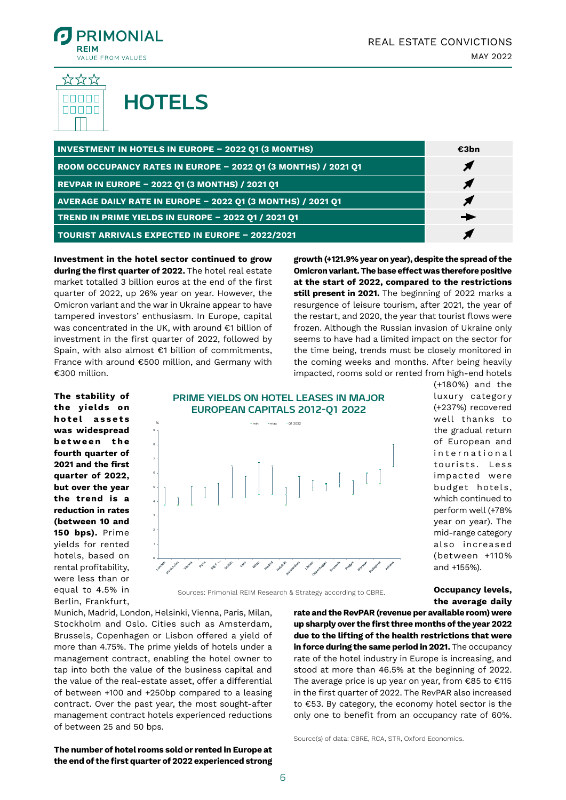

<sup>&</sup>lt;u> ಭಭಭ</u> 88886 **HOTELS** nnnnn

| <b>INVESTMENT IN HOTELS IN EUROPE - 2022 Q1 (3 MONTHS)</b>           | €3bn |
|----------------------------------------------------------------------|------|
| <b>ROOM OCCUPANCY RATES IN EUROPE - 2022 Q1 (3 MONTHS) / 2021 Q1</b> |      |
| REVPAR IN EUROPE - 2022 Q1 (3 MONTHS) / 2021 Q1                      |      |
| AVERAGE DAILY RATE IN EUROPE - 2022 Q1 (3 MONTHS) / 2021 Q1          |      |
| TREND IN PRIME YIELDS IN EUROPE - 2022 01 / 2021 01                  |      |
| <b>TOURIST ARRIVALS EXPECTED IN EUROPE - 2022/2021</b>               |      |

**Investment in the hotel sector continued to grow during the first quarter of 2022.** The hotel real estate market totalled 3 billion euros at the end of the first quarter of 2022, up 26% year on year. However, the Omicron variant and the war in Ukraine appear to have tampered investors' enthusiasm. In Europe, capital was concentrated in the UK, with around €1 billion of investment in the first quarter of 2022, followed by Spain, with also almost €1 billion of commitments, France with around €500 million, and Germany with €300 million.

**growth (+121.9% year on year), despite the spread of the Omicron variant. The base effect was therefore positive at the start of 2022, compared to the restrictions still present in 2021.** The beginning of 2022 marks a resurgence of leisure tourism, after 2021, the year of the restart, and 2020, the year that tourist flows were frozen. Although the Russian invasion of Ukraine only seems to have had a limited impact on the sector for the time being, trends must be closely monitored in the coming weeks and months. After being heavily impacted, rooms sold or rented from high-end hotels

**The stability of the yields on h o t e l a s s e t s was widespread b e t w e e n t h e fourth quarter of 2021 and the first quarter of 2022, but over the year the trend is a reduction in rates (between 10 and 150 bps).** Prime yields for rented hotels, based on rental profitability, were less than or equal to 4.5% in Berlin, Frankfurt,



**PRIME YIELDS ON HOTEL LEASES IN MAJOR** 

Sources: Primonial REIM Research & Strategy according to CBRE.

Munich, Madrid, London, Helsinki, Vienna, Paris, Milan, Stockholm and Oslo. Cities such as Amsterdam, Brussels, Copenhagen or Lisbon offered a yield of more than 4.75%. The prime yields of hotels under a management contract, enabling the hotel owner to tap into both the value of the business capital and the value of the real-estate asset, offer a differential of between +100 and +250bp compared to a leasing contract. Over the past year, the most sought-after management contract hotels experienced reductions of between 25 and 50 bps.

**The number of hotel rooms sold or rented in Europe at the end of the first quarter of 2022 experienced strong** 

(+180%) and the luxury category (+237%) recovered well thanks to the gradual return of European and international tourists. Less impac ted were budget hotels. which continued to perform well (+78% year on year). The mid-range category also increased (between +110% and +155%).

**Occupancy levels, the average daily** 

**rate and the RevPAR (revenue per available room) were up sharply over the first three months of the year 2022 due to the lifting of the health restrictions that were in force during the same period in 2021.** The occupancy rate of the hotel industry in Europe is increasing, and stood at more than 46.5% at the beginning of 2022. The average price is up year on year, from €85 to €115 in the first quarter of 2022. The RevPAR also increased to €53. By category, the economy hotel sector is the only one to benefit from an occupancy rate of 60%.

Source(s) of data: CBRE, RCA, STR, Oxford Economics.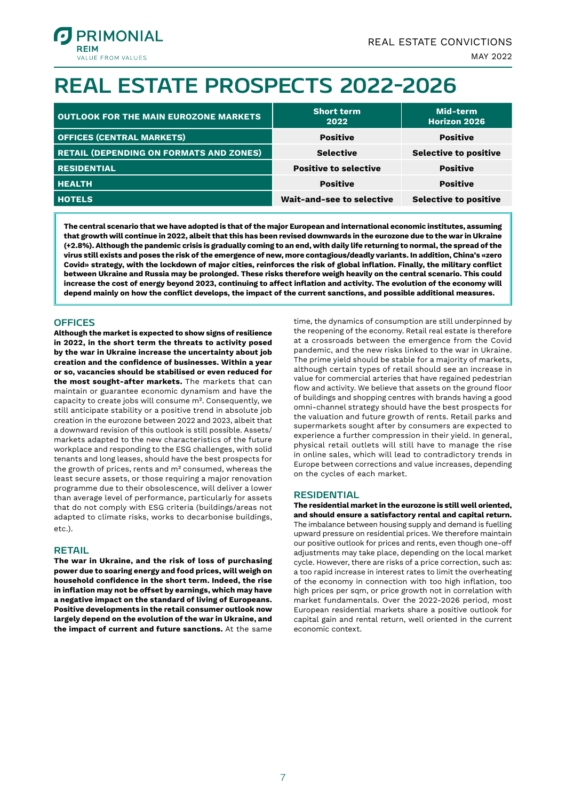

## **REAL ESTATE PROSPECTS 2022-2026**

| <b>OUTLOOK FOR THE MAIN EUROZONE MARKETS</b>   | <b>Short term</b><br>2022    | Mid-term<br><b>Horizon 2026</b> |
|------------------------------------------------|------------------------------|---------------------------------|
| <b>OFFICES (CENTRAL MARKETS)</b>               | <b>Positive</b>              | <b>Positive</b>                 |
| <b>RETAIL (DEPENDING ON FORMATS AND ZONES)</b> | <b>Selective</b>             | <b>Selective to positive</b>    |
| <b>RESIDENTIAL</b>                             | <b>Positive to selective</b> | <b>Positive</b>                 |
| <b>HEALTH</b>                                  | <b>Positive</b>              | <b>Positive</b>                 |
| <b>HOTELS</b>                                  | Wait-and-see to selective    | <b>Selective to positive</b>    |

**The central scenario that we have adopted is that of the major European and international economic institutes, assuming that growth will continue in 2022, albeit that this has been revised downwards in the eurozone due to the war in Ukraine (+2.8%). Although the pandemic crisis is gradually coming to an end, with daily life returning to normal, the spread of the virus still exists and poses the risk of the emergence of new, more contagious/deadly variants. In addition, China's «zero Covid» strategy, with the lockdown of major cities, reinforces the risk of global inflation. Finally, the military conflict between Ukraine and Russia may be prolonged. These risks therefore weigh heavily on the central scenario. This could increase the cost of energy beyond 2023, continuing to affect inflation and activity. The evolution of the economy will depend mainly on how the conflict develops, the impact of the current sanctions, and possible additional measures.**

#### **OFFICES**

**Although the market is expected to show signs of resilience in 2022, in the short term the threats to activity posed by the war in Ukraine increase the uncertainty about job creation and the confidence of businesses. Within a year or so, vacancies should be stabilised or even reduced for the most sought-after markets.** The markets that can maintain or guarantee economic dynamism and have the capacity to create jobs will consume m². Consequently, we still anticipate stability or a positive trend in absolute job creation in the eurozone between 2022 and 2023, albeit that a downward revision of this outlook is still possible. Assets/ markets adapted to the new characteristics of the future workplace and responding to the ESG challenges, with solid tenants and long leases, should have the best prospects for the growth of prices, rents and m² consumed, whereas the least secure assets, or those requiring a major renovation programme due to their obsolescence, will deliver a lower than average level of performance, particularly for assets that do not comply with ESG criteria (buildings/areas not adapted to climate risks, works to decarbonise buildings, etc.).

#### **RETAIL**

**The war in Ukraine, and the risk of loss of purchasing power due to soaring energy and food prices, will weigh on household confidence in the short term. Indeed, the rise in inflation may not be offset by earnings, which may have a negative impact on the standard of living of Europeans. Positive developments in the retail consumer outlook now largely depend on the evolution of the war in Ukraine, and the impact of current and future sanctions.** At the same

time, the dynamics of consumption are still underpinned by the reopening of the economy. Retail real estate is therefore at a crossroads between the emergence from the Covid pandemic, and the new risks linked to the war in Ukraine. The prime yield should be stable for a majority of markets, although certain types of retail should see an increase in value for commercial arteries that have regained pedestrian flow and activity. We believe that assets on the ground floor of buildings and shopping centres with brands having a good omni-channel strategy should have the best prospects for the valuation and future growth of rents. Retail parks and supermarkets sought after by consumers are expected to experience a further compression in their yield. In general, physical retail outlets will still have to manage the rise in online sales, which will lead to contradictory trends in Europe between corrections and value increases, depending on the cycles of each market.

#### **RESIDENTIAL**

**The residential market in the eurozone is still well oriented, and should ensure a satisfactory rental and capital return.**  The imbalance between housing supply and demand is fuelling upward pressure on residential prices. We therefore maintain our positive outlook for prices and rents, even though one-off adjustments may take place, depending on the local market cycle. However, there are risks of a price correction, such as: a too rapid increase in interest rates to limit the overheating of the economy in connection with too high inflation, too high prices per sqm, or price growth not in correlation with market fundamentals. Over the 2022-2026 period, most European residential markets share a positive outlook for capital gain and rental return, well oriented in the current economic context.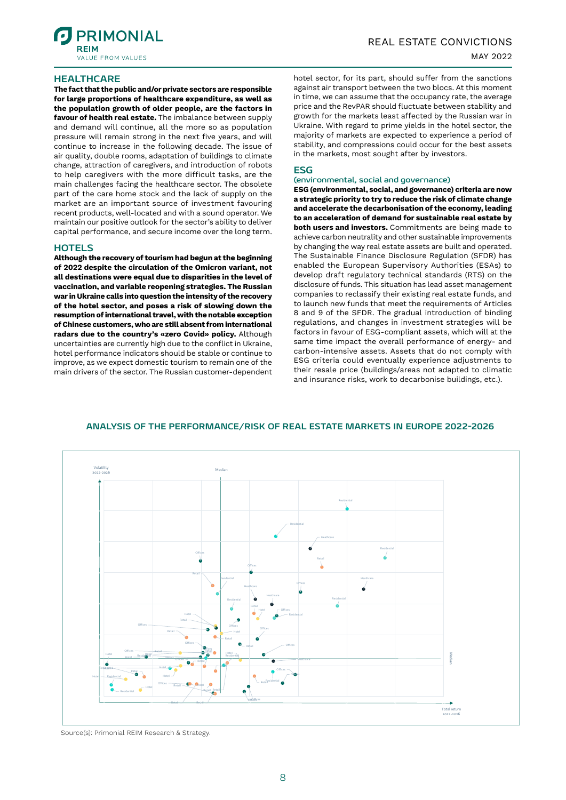

#### **HEALTHCARE**

**The fact that the public and/or private sectors are responsible for large proportions of healthcare expenditure, as well as the population growth of older people, are the factors in favour of health real estate.** The imbalance between supply and demand will continue, all the more so as population pressure will remain strong in the next five years, and will continue to increase in the following decade. The issue of air quality, double rooms, adaptation of buildings to climate change, attraction of caregivers, and introduction of robots to help caregivers with the more difficult tasks, are the main challenges facing the healthcare sector. The obsolete part of the care home stock and the lack of supply on the market are an important source of investment favouring recent products, well-located and with a sound operator. We maintain our positive outlook for the sector's ability to deliver capital performance, and secure income over the long term.

#### **HOTELS**

**Although the recovery of tourism had begun at the beginning of 2022 despite the circulation of the Omicron variant, not all destinations were equal due to disparities in the level of vaccination, and variable reopening strategies. The Russian war in Ukraine calls into question the intensity of the recovery of the hotel sector, and poses a risk of slowing down the resumption of international travel, with the notable exception of Chinese customers, who are still absent from international radars due to the country's «zero Covid» policy.** Although uncertainties are currently high due to the conflict in Ukraine, hotel performance indicators should be stable or continue to improve, as we expect domestic tourism to remain one of the main drivers of the sector. The Russian customer-dependent

hotel sector, for its part, should suffer from the sanctions against air transport between the two blocs. At this moment in time, we can assume that the occupancy rate, the average price and the RevPAR should fluctuate between stability and growth for the markets least affected by the Russian war in Ukraine. With regard to prime yields in the hotel sector, the majority of markets are expected to experience a period of stability, and compressions could occur for the best assets in the markets, most sought after by investors.

#### **ESG**

#### **(environmental, social and governance)**

**ESG (environmental, social, and governance) criteria are now a strategic priority to try to reduce the risk of climate change and accelerate the decarbonisation of the economy, leading to an acceleration of demand for sustainable real estate by both users and investors.** Commitments are being made to achieve carbon neutrality and other sustainable improvements by changing the way real estate assets are built and operated. The Sustainable Finance Disclosure Regulation (SFDR) has enabled the European Supervisory Authorities (ESAs) to develop draft regulatory technical standards (RTS) on the disclosure of funds. This situation has lead asset management companies to reclassify their existing real estate funds, and to launch new funds that meet the requirements of Articles 8 and 9 of the SFDR. The gradual introduction of binding regulations, and changes in investment strategies will be factors in favour of ESG-compliant assets, which will at the same time impact the overall performance of energy- and carbon-intensive assets. Assets that do not comply with ESG criteria could eventually experience adjustments to their resale price (buildings/areas not adapted to climatic and insurance risks, work to decarbonise buildings, etc.).



#### **ANALYSIS OF THE PERFORMANCE/RISK OF REAL ESTATE MARKETS IN EUROPE 2022-2026**

Source(s): Primonial REIM Research & Strategy.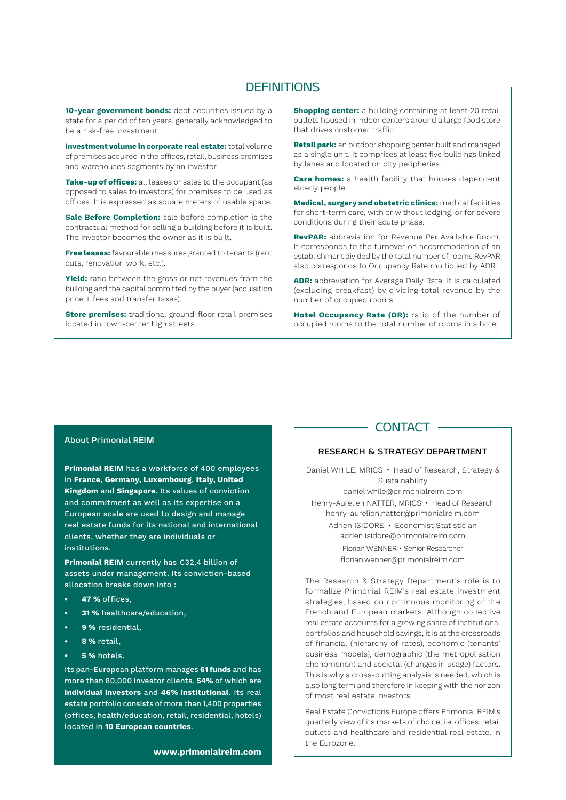#### **DEFINITIONS**

**10-year government bonds:** debt securities issued by a state for a period of ten years, generally acknowledged to be a risk-free investment.

**Investment volume in corporate real estate:** total volume of premises acquired in the offices, retail, business premises and warehouses segments by an investor.

**Take-up of offices:** all leases or sales to the occupant (as opposed to sales to investors) for premises to be used as offices. It is expressed as square meters of usable space.

**Sale Before Completion:** sale before completion is the contractual method for selling a building before it is built. The investor becomes the owner as it is built.

**Free leases:** favourable measures granted to tenants (rent cuts, renovation work, etc.).

**Yield:** ratio between the gross or net revenues from the building and the capital committed by the buyer (acquisition price + fees and transfer taxes).

**Store premises:** traditional ground-floor retail premises located in town-center high streets.

**Shopping center:** a building containing at least 20 retail outlets housed in indoor centers around a large food store that drives customer traffic.

**Retail park:** an outdoor shopping center built and managed as a single unit. It comprises at least five buildings linked by lanes and located on city peripheries.

**Care homes:** a health facility that houses dependent elderly people.

**Medical, surgery and obstetric clinics:** medical facilities for short-term care, with or without lodging, or for severe conditions during their acute phase.

**RevPAR:** abbreviation for Revenue Per Available Room. It corresponds to the turnover on accommodation of an establishment divided by the total number of rooms RevPAR also corresponds to Occupancy Rate multiplied by ADR

**ADR:** abbreviation for Average Daily Rate. It is calculated (excluding breakfast) by dividing total revenue by the number of occupied rooms.

**Hotel Occupancy Rate (OR):** ratio of the number of occupied rooms to the total number of rooms in a hotel.

#### **About Primonial REIM**

**Primonial REIM** has a workforce of 400 employees in **France, Germany, Luxembourg**, **Italy, United Kingdom** and **Singapore**. Its values of conviction and commitment as well as its expertise on a European scale are used to design and manage real estate funds for its national and international clients, whether they are individuals or institutions.

**Primonial REIM** currently has €32,4 billion of assets under management. Its conviction-based allocation breaks down into :

- **• 47 %** offices,
- **• 31 %** healthcare/education,
- **• 9 %** residential,
- **• 8 %** retail,
- **• 5 %** hotels.

Its pan-European platform manages **61 funds** and has more than 80,000 investor clients, **54%** of which are **individual investors** and **46% institutional**. Its real estate portfolio consists of more than 1,400 properties (offices, health/education, retail, residential, hotels) located in **10 European countries**.

**www.primonialreim.com**

#### **CONTACT**

#### RESEARCH & STRATEGY DEPARTMENT

Daniel WHILE, MRICS • Head of Research, Strategy & Sustainability daniel.while@primonialreim.com Henry-Aurélien NATTER, MRICS • Head of Research henry-aurelien.natter@primonialreim.com Adrien ISIDORE • Economist Statistician adrien.isidore@primonialreim.com Florian WENNER • Senior Researcher florian.wenner@primonialreim.com

The Research & Strategy Department's role is to formalize Primonial REIM's real estate investment strategies, based on continuous monitoring of the French and European markets. Although collective real estate accounts for a growing share of institutional portfolios and household savings, it is at the crossroads of financial (hierarchy of rates), economic (tenants' business models), demographic (the metropolisation phenomenon) and societal (changes in usage) factors. This is why a cross-cutting analysis is needed, which is also long term and therefore in keeping with the horizon of most real estate investors.

Real Estate Convictions Europe offers Primonial REIM's quarterly view of its markets of choice, i.e. offices, retail outlets and healthcare and residential real estate, in the Eurozone.